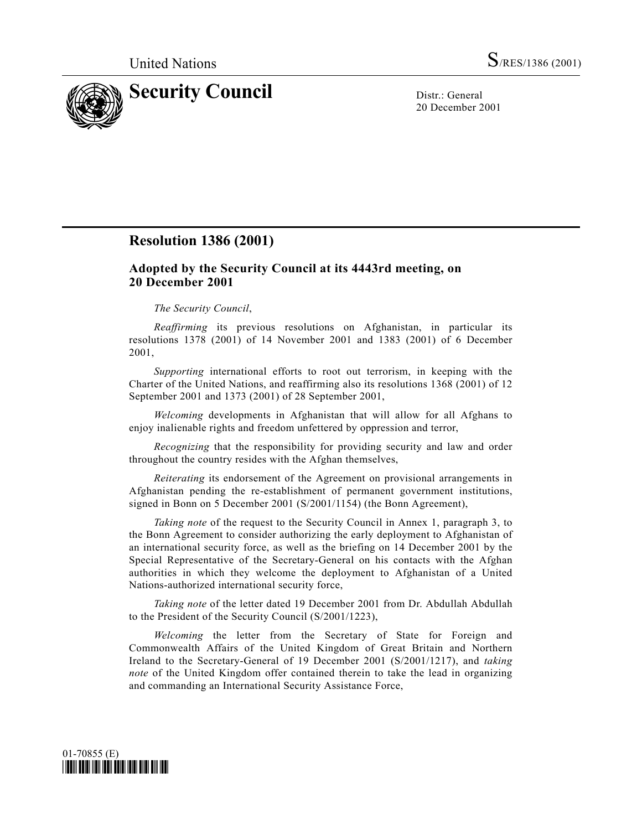

20 December 2001

## **Resolution 1386 (2001)**

## **Adopted by the Security Council at its 4443rd meeting, on 20 December 2001**

## *The Security Council*,

*Reaffirming* its previous resolutions on Afghanistan, in particular its resolutions 1378 (2001) of 14 November 2001 and 1383 (2001) of 6 December 2001,

*Supporting* international efforts to root out terrorism, in keeping with the Charter of the United Nations, and reaffirming also its resolutions 1368 (2001) of 12 September 2001 and 1373 (2001) of 28 September 2001,

*Welcoming* developments in Afghanistan that will allow for all Afghans to enjoy inalienable rights and freedom unfettered by oppression and terror,

*Recognizing* that the responsibility for providing security and law and order throughout the country resides with the Afghan themselves,

*Reiterating* its endorsement of the Agreement on provisional arrangements in Afghanistan pending the re-establishment of permanent government institutions, signed in Bonn on 5 December 2001 (S/2001/1154) (the Bonn Agreement),

*Taking note* of the request to the Security Council in Annex 1, paragraph 3, to the Bonn Agreement to consider authorizing the early deployment to Afghanistan of an international security force, as well as the briefing on 14 December 2001 by the Special Representative of the Secretary-General on his contacts with the Afghan authorities in which they welcome the deployment to Afghanistan of a United Nations-authorized international security force,

*Taking note* of the letter dated 19 December 2001 from Dr. Abdullah Abdullah to the President of the Security Council (S/2001/1223),

*Welcoming* the letter from the Secretary of State for Foreign and Commonwealth Affairs of the United Kingdom of Great Britain and Northern Ireland to the Secretary-General of 19 December 2001 (S/2001/1217), and *taking note* of the United Kingdom offer contained therein to take the lead in organizing and commanding an International Security Assistance Force,

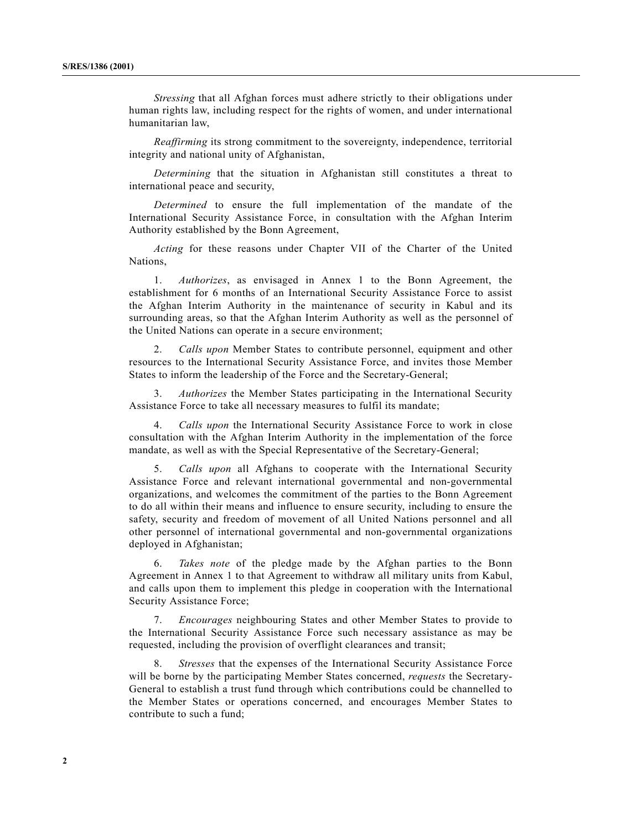*Stressing* that all Afghan forces must adhere strictly to their obligations under human rights law, including respect for the rights of women, and under international humanitarian law,

*Reaffirming* its strong commitment to the sovereignty, independence, territorial integrity and national unity of Afghanistan,

*Determining* that the situation in Afghanistan still constitutes a threat to international peace and security,

*Determined* to ensure the full implementation of the mandate of the International Security Assistance Force, in consultation with the Afghan Interim Authority established by the Bonn Agreement,

*Acting* for these reasons under Chapter VII of the Charter of the United Nations,

1. *Authorizes*, as envisaged in Annex 1 to the Bonn Agreement, the establishment for 6 months of an International Security Assistance Force to assist the Afghan Interim Authority in the maintenance of security in Kabul and its surrounding areas, so that the Afghan Interim Authority as well as the personnel of the United Nations can operate in a secure environment;

2. *Calls upon* Member States to contribute personnel, equipment and other resources to the International Security Assistance Force, and invites those Member States to inform the leadership of the Force and the Secretary-General;

3. *Authorizes* the Member States participating in the International Security Assistance Force to take all necessary measures to fulfil its mandate;

4. *Calls upon* the International Security Assistance Force to work in close consultation with the Afghan Interim Authority in the implementation of the force mandate, as well as with the Special Representative of the Secretary-General;

5. *Calls upon* all Afghans to cooperate with the International Security Assistance Force and relevant international governmental and non-governmental organizations, and welcomes the commitment of the parties to the Bonn Agreement to do all within their means and influence to ensure security, including to ensure the safety, security and freedom of movement of all United Nations personnel and all other personnel of international governmental and non-governmental organizations deployed in Afghanistan;

6. *Takes note* of the pledge made by the Afghan parties to the Bonn Agreement in Annex 1 to that Agreement to withdraw all military units from Kabul, and calls upon them to implement this pledge in cooperation with the International Security Assistance Force;

7. *Encourages* neighbouring States and other Member States to provide to the International Security Assistance Force such necessary assistance as may be requested, including the provision of overflight clearances and transit;

8. *Stresses* that the expenses of the International Security Assistance Force will be borne by the participating Member States concerned, *requests* the Secretary-General to establish a trust fund through which contributions could be channelled to the Member States or operations concerned, and encourages Member States to contribute to such a fund;